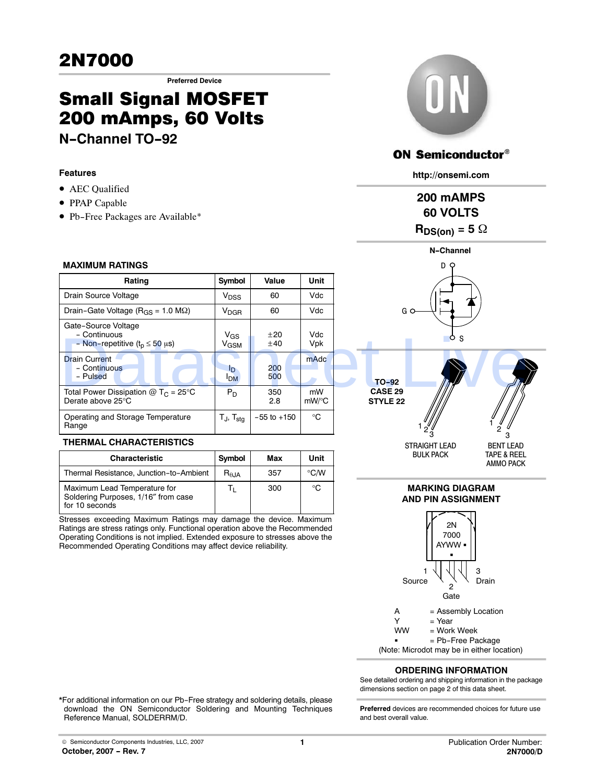## **2N7000** <u>2000 - 2000 - 2000 - 2000 - 2000 - 2000 - 2000 - 2000 - 2000 - 2000 - 2000 - 2000 - 2000 - 2000 - 2000 - 2000 </u>

**Preferred Device**

# Small Signal MOSFET<br>200 mAmps, 60 Volts **N-Channel TO-92**

## **Features**

- AEC Qualified
- PPAP Capable
- Pb-Free Packages are Available\*

## **MAXIMUM RATINGS**

| Rating                                                                         | Symbol                             | Value           | Unit              |                            |
|--------------------------------------------------------------------------------|------------------------------------|-----------------|-------------------|----------------------------|
| Drain Source Voltage                                                           | V <sub>DSS</sub>                   | 60              | Vdc               |                            |
| Drain-Gate Voltage ( $R_{GS}$ = 1.0 M $\Omega$ )                               | $\mathsf{V}_{\mathsf{DGR}}$        | 60              | Vdc               | G O                        |
| Gate-Source Voltage<br>- Continuous<br>- Non-repetitive ( $t_p \le 50 \mu s$ ) | $V_{GS}$<br>V <sub>GSM</sub>       | ±20<br>±40      | Vdc<br><b>Vpk</b> | $\circ$<br><sub>S</sub>    |
| <b>Drain Current</b><br>- Continuous<br>- Pulsed                               | <u>ID</u><br><b>I<sub>DM</sub></b> | 200<br>500      | mAdc              | $TO-92$                    |
| Total Power Dissipation $@$ T <sub>C</sub> = 25°C<br>Derate above 25°C         | $P_D$                              | 350<br>2.8      | mW<br>mW/°C       | CASE 29<br><b>STYLE 22</b> |
| Operating and Storage Temperature<br>Range                                     | $T_{\sf J}$ , $T_{\sf stg}$        | $-55$ to $+150$ | °C                |                            |

## **THERMAL CHARACTERISTICS**

| <b>Characteristic</b>                                                                 | Symbol          | Max | Unit          |
|---------------------------------------------------------------------------------------|-----------------|-----|---------------|
| Thermal Resistance, Junction-to-Ambient                                               | $R_{\theta,IA}$ | 357 | $\degree$ C/W |
| Maximum Lead Temperature for<br>Soldering Purposes, 1/16" from case<br>for 10 seconds |                 | 300 | °C            |

Stresses exceeding Maximum Ratings may damage the device. Maximum Ratings are stress ratings only. Functional operation above the Recommended Operating Conditions is not implied. Extended exposure to stresses above the Recommended Operating Conditions may affect device reliability.



## **ON Semiconductor®**

**http://onsemi.com**

# **200 mAMPS 60 VOLTS**

 $R_{DS(on)}$  = 5  $\Omega$ 



**MARKING DIAGRAM AND PIN ASSIGNMENT**



## **ORDERING INFORMATION**

See detailed ordering and shipping information in the package dimensions section on page [2 of this data sheet.](#page-1-0)

**Preferred** devices are recommended choices for future use

and best overall value.

\*For additional information on our Pb-Free strategy and soldering details, please download the ON Semiconductor Soldering and Mounting Techniques Reference Manual, SOLDERRM/D.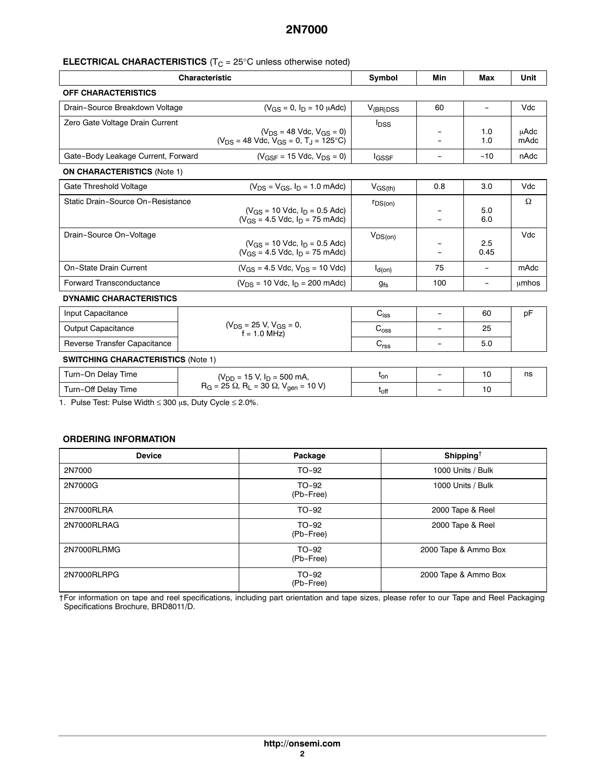## **2N7000**

## <span id="page-1-0"></span>**ELECTRICAL CHARACTERISTICS** (T<sub>C</sub> = 25°C unless otherwise noted)

| Characteristic                                                                               |                                                                                          | Symbol                      | Min                      | Max                      | Unit                |  |
|----------------------------------------------------------------------------------------------|------------------------------------------------------------------------------------------|-----------------------------|--------------------------|--------------------------|---------------------|--|
| <b>OFF CHARACTERISTICS</b>                                                                   |                                                                                          |                             |                          |                          |                     |  |
| Drain-Source Breakdown Voltage                                                               | $(V_{GS} = 0, I_D = 10 \mu A d c)$                                                       | $V_{(BR)DSS}$               | 60                       | $\overline{\phantom{0}}$ | Vdc                 |  |
| Zero Gate Voltage Drain Current                                                              | $(V_{DS} = 48$ Vdc, $V_{GS} = 0$ )<br>$(V_{DS} = 48$ Vdc, $V_{GS} = 0$ , $T_J = 125$ °C) | $I_{DSS}$                   |                          | 1.0<br>1.0               | <b>uAdc</b><br>mAdc |  |
| Gate-Body Leakage Current, Forward<br>$(V_{\text{GSE}} = 15 \text{ Vdc}, V_{\text{DS}} = 0)$ |                                                                                          | <b>IGSSF</b>                | $\qquad \qquad -$        | $-10$                    | nAdc                |  |
| <b>ON CHARACTERISTICS (Note 1)</b>                                                           |                                                                                          |                             |                          |                          |                     |  |
| $(V_{DS} = V_{GS}, I_D = 1.0$ mAdc)<br>Gate Threshold Voltage                                |                                                                                          | $V_{GS(th)}$                | 0.8                      | 3.0                      | Vdc                 |  |
| Static Drain-Source On-Resistance                                                            | $(V_{GS} = 10$ Vdc, $I_D = 0.5$ Adc)<br>$(V_{GS} = 4.5$ Vdc, $I_D = 75$ mAdc)            | $r_{DS(on)}$                |                          | 5.0<br>6.0               | Ω                   |  |
| Drain-Source On-Voltage                                                                      | $(V_{GS} = 10$ Vdc, $I_D = 0.5$ Adc)<br>$(V_{GS} = 4.5$ Vdc, $I_D = 75$ mAdc)            | $V_{DS(on)}$                |                          | 2.5<br>0.45              | Vdc                 |  |
| <b>On-State Drain Current</b>                                                                | $(V_{GS} = 4.5$ Vdc, $V_{DS} = 10$ Vdc)                                                  | $I_{d(on)}$                 | 75                       | $\overline{\phantom{a}}$ | mAdc                |  |
| <b>Forward Transconductance</b>                                                              | $(V_{DS} = 10$ Vdc, $I_D = 200$ mAdc)                                                    | $g_{fs}$                    | 100                      | $\overline{\phantom{0}}$ | umhos               |  |
| <b>DYNAMIC CHARACTERISTICS</b>                                                               |                                                                                          |                             |                          |                          |                     |  |
| Input Capacitance                                                                            |                                                                                          | $C_{iss}$                   | $\overline{\phantom{0}}$ | 60                       | pF                  |  |
| <b>Output Capacitance</b>                                                                    | $(V_{DS} = 25 V, V_{GS} = 0,$<br>$f = 1.0$ MHz)                                          | $\mathrm{C}_{\mathrm{oss}}$ |                          | 25                       |                     |  |
| Reverse Transfer Capacitance                                                                 |                                                                                          | C <sub>rss</sub>            | $\qquad \qquad -$        | 5.0                      |                     |  |
| <b>SWITCHING CHARACTERISTICS (Note 1)</b>                                                    |                                                                                          |                             |                          |                          |                     |  |
| Turn-On Delay Time                                                                           | $(V_{DD} = 15 V, I_D = 500 mA$                                                           | $t_{on}$                    | $\qquad \qquad -$        | 10                       | ns                  |  |
| Turn-Off Delay Time                                                                          | $R_G = 25 \Omega$ , $R_L = 30 \Omega$ , $V_{gen} = 10 V$ )                               | $t_{off}$                   |                          | 10                       |                     |  |

1. Pulse Test: Pulse Width  $\leq 300 \mu s$ , Duty Cycle  $\leq 2.0\%$ .

## **ORDERING INFORMATION**

| <b>Device</b> | Package            | Shipping <sup>†</sup> |
|---------------|--------------------|-----------------------|
| 2N7000        | TO-92              | 1000 Units / Bulk     |
| 2N7000G       | TO-92<br>(Pb-Free) | 1000 Units / Bulk     |
| 2N7000RLRA    | TO-92              | 2000 Tape & Reel      |
| 2N7000RLRAG   | TO-92<br>(Pb-Free) | 2000 Tape & Reel      |
| 2N7000RLRMG   | TO-92<br>(Pb-Free) | 2000 Tape & Ammo Box  |
| 2N7000RLRPG   | TO-92<br>(Pb-Free) | 2000 Tape & Ammo Box  |

†For information on tape and reel specifications, including part orientation and tape sizes, please refer to our Tape and Reel Packaging Specifications Brochure, BRD8011/D.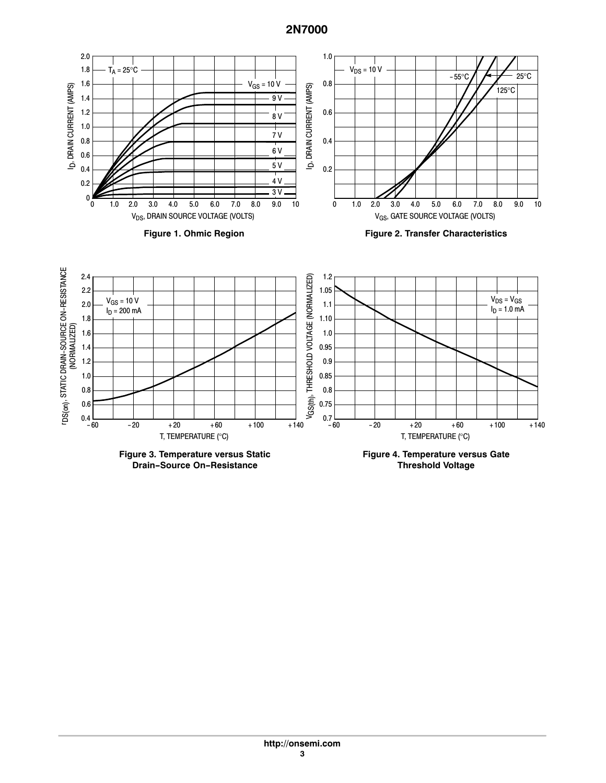**2N7000**